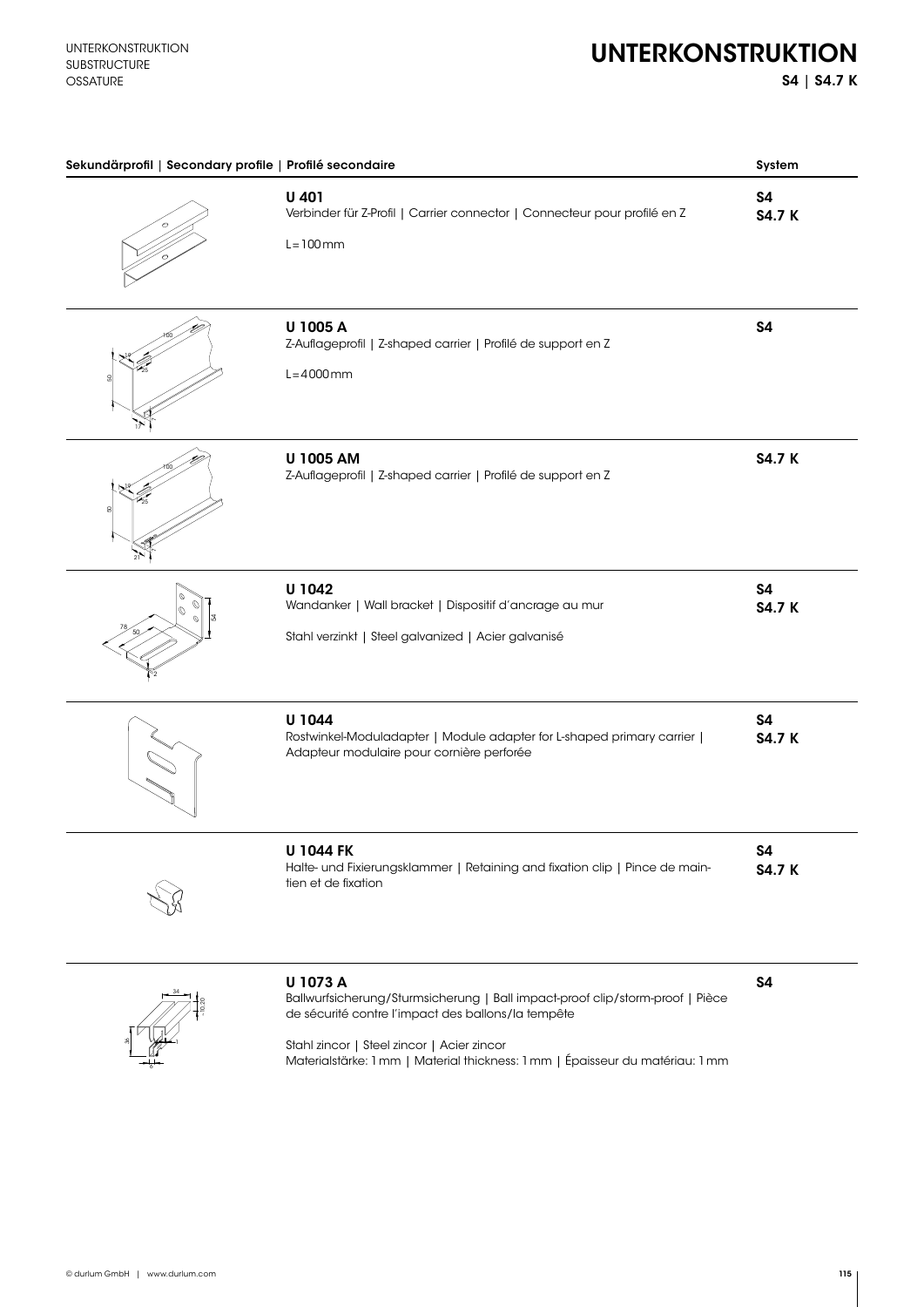S4 | S4.7 K

| Sekundärprofil   Secondary profile   Profilé secondaire |                                                                                                                                                                                                                                                                                | System                     |
|---------------------------------------------------------|--------------------------------------------------------------------------------------------------------------------------------------------------------------------------------------------------------------------------------------------------------------------------------|----------------------------|
|                                                         | U 401<br>Verbinder für Z-Profil   Carrier connector   Connecteur pour profilé en Z<br>$L = 100$ mm                                                                                                                                                                             | <b>S4</b><br><b>S4.7 K</b> |
| 8                                                       | U 1005 A<br>Z-Auflageprofil   Z-shaped carrier   Profilé de support en Z<br>$L = 4000$ mm                                                                                                                                                                                      | <b>S4</b>                  |
| g                                                       | U 1005 AM<br>Z-Auflageprofil   Z-shaped carrier   Profilé de support en Z                                                                                                                                                                                                      | <b>S4.7 K</b>              |
| Ø                                                       | U 1042<br>Wandanker   Wall bracket   Dispositif d'ancrage au mur<br>Stahl verzinkt   Steel galvanized   Acier galvanisé                                                                                                                                                        | <b>S4</b><br><b>S4.7 K</b> |
|                                                         | U 1044<br>Rostwinkel-Moduladapter   Module adapter for L-shaped primary carrier  <br>Adapteur modulaire pour cornière perforée                                                                                                                                                 | <b>S4</b><br><b>S4.7 K</b> |
|                                                         | <b>U 1044 FK</b><br>Halte- und Fixierungsklammer   Retaining and fixation clip   Pince de main-<br>tien et de fixation                                                                                                                                                         | S4<br><b>S4.7 K</b>        |
|                                                         | U 1073 A<br>Ballwurfsicherung/Sturmsicherung   Ball impact-proof clip/storm-proof   Pièce<br>de sécurité contre l'impact des ballons/la tempête<br>Stahl zincor   Steel zincor   Acier zincor<br>Materialstärke: 1 mm   Material thickness: 1 mm   Épaisseur du matériau: 1 mm | <b>S4</b>                  |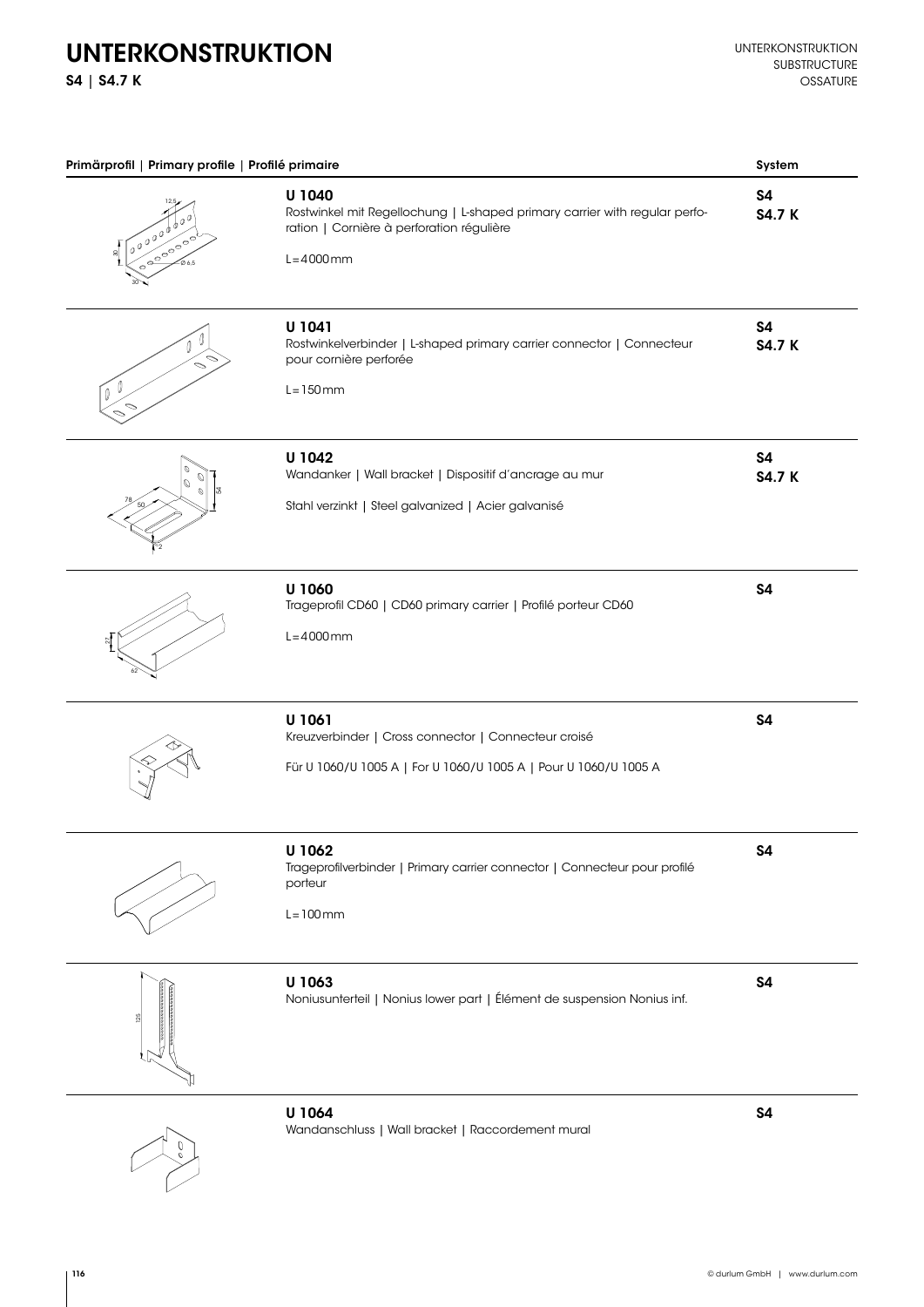## UNTERKONSTRUKTION

S4 | S4.7 K

| Primärprofil   Primary profile   Profilé primaire      |                                                                                                                                                    | System                     |
|--------------------------------------------------------|----------------------------------------------------------------------------------------------------------------------------------------------------|----------------------------|
| $\int_0^1 e^{i \theta} e^{i \theta}$<br><b>0000000</b> | U 1040<br>Rostwinkel mit Regellochung   L-shaped primary carrier with regular perfo-<br>ration   Cornière à perforation régulière<br>$L = 4000$ mm | <b>S4</b><br><b>S4.7 K</b> |
| $\overline{\phantom{0}}$<br>$\sqrt{10}$                | U 1041<br>Rostwinkelverbinder   L-shaped primary carrier connector   Connecteur<br>pour cornière perforée<br>$L = 150$ mm                          | <b>S4</b><br><b>S4.7 K</b> |
| O<br>Ø<br>$\phi$                                       | U 1042<br>Wandanker   Wall bracket   Dispositif d'ancrage au mur<br>Stahl verzinkt   Steel galvanized   Acier galvanisé                            | <b>S4</b><br><b>S4.7 K</b> |
|                                                        | U 1060<br>Trageprofil CD60   CD60 primary carrier   Profilé porteur CD60<br>$L = 4000$ mm                                                          | S4                         |
|                                                        | U 1061<br>Kreuzverbinder   Cross connector   Connecteur croisé<br>Für U 1060/U 1005 A   For U 1060/U 1005 A   Pour U 1060/U 1005 A                 | <b>S4</b>                  |
|                                                        | U 1062<br>Trageprofilverbinder   Primary carrier connector   Connecteur pour profilé<br>porteur<br>$L = 100$ mm                                    | \$4                        |
|                                                        | U 1063<br>Noniusunterteil   Nonius lower part   Élément de suspension Nonius inf.                                                                  | \$4                        |
|                                                        | U 1064<br>Wandanschluss   Wall bracket   Raccordement mural                                                                                        | \$4                        |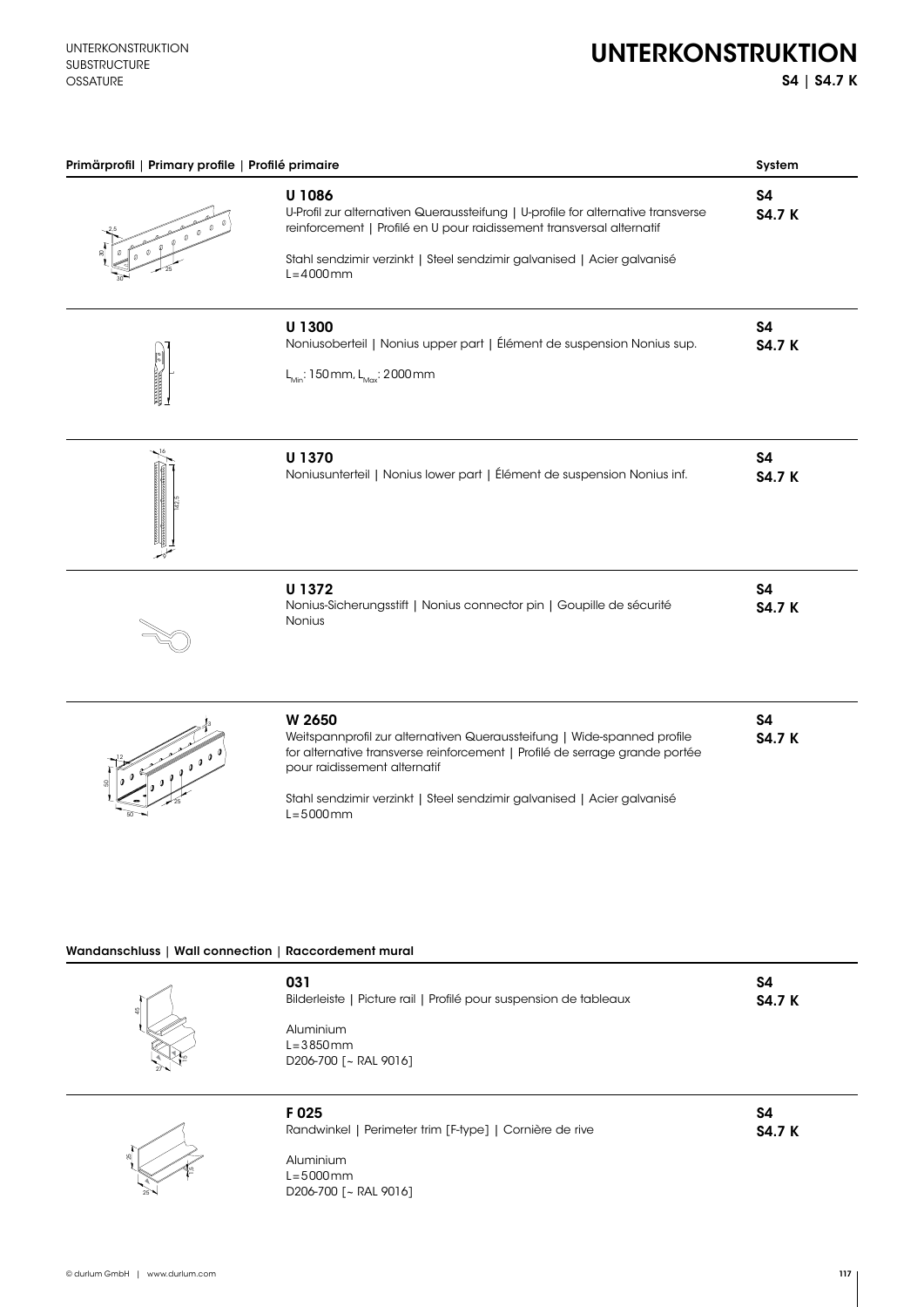## UNTERKONSTRUKTION

S4 | S4.7 K

|               | Primärprofil   Primary profile   Profilé primaire                                                                                                                                                                                                                                            | System                     |
|---------------|----------------------------------------------------------------------------------------------------------------------------------------------------------------------------------------------------------------------------------------------------------------------------------------------|----------------------------|
|               | U 1086<br>U-Profil zur alternativen Queraussteifung   U-profile for alternative transverse<br>reinforcement   Profilé en U pour raidissement transversal alternatif<br>Stahl sendzimir verzinkt   Steel sendzimir galvanised   Acier galvanisé<br>$L = 4000$ mm                              | S4<br><b>S4.7 K</b>        |
| $\frac{2}{2}$ | U 1300<br>Noniusoberteil   Nonius upper part   Élément de suspension Nonius sup.<br>$L_{Min}$ : 150 mm, $L_{Max}$ : 2000 mm                                                                                                                                                                  | S4<br><b>S4.7 K</b>        |
|               | U 1370<br>Noniusunterteil   Nonius lower part   Élément de suspension Nonius inf.                                                                                                                                                                                                            | S4<br><b>S4.7 K</b>        |
|               | U 1372<br>Nonius-Sicherungsstift   Nonius connector pin   Goupille de sécurité<br>Nonius                                                                                                                                                                                                     | S4<br><b>S4.7 K</b>        |
|               | W 2650<br>Weitspannprofil zur alternativen Queraussteifung   Wide-spanned profile<br>for alternative transverse reinforcement   Profilé de serrage grande portée<br>pour raidissement alternatif<br>Stahl sendzimir verzinkt   Steel sendzimir galvanised   Acier galvanisé<br>$L = 5000$ mm | <b>S4</b><br><b>S4.7 K</b> |
|               | Wandanschluss   Wall connection   Raccordement mural<br>031                                                                                                                                                                                                                                  | <b>S4</b>                  |

 $^{5}$ 

 $\frac{1}{27}$ <sup>12</sup>

| F 025     | Randwinkel   Perimeter trim [F-type]   Cornière de rive |
|-----------|---------------------------------------------------------|
| Aluminium |                                                         |

L=5000mm D206-700 [~ RAL 9016]

D206-700 [~ RAL 9016]

S4 S4.7 K